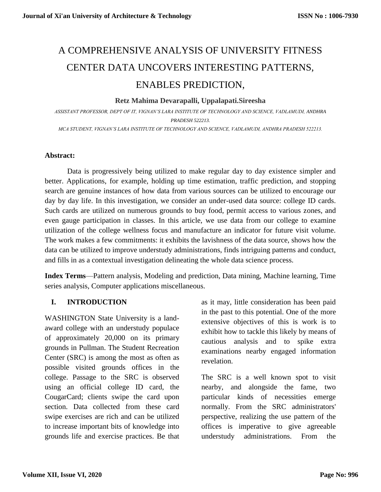# A COMPREHENSIVE ANALYSIS OF UNIVERSITY FITNESS CENTER DATA UNCOVERS INTERESTING PATTERNS, ENABLES PREDICTION,

#### **Retz Mahima Devarapalli, Uppalapati.Sireesha**

*ASSISTANT PROFESSOR, DEPT OF IT, VIGNAN'S LARA INSTITUTE OF TECHNOLOGY AND SCIENCE, VADLAMUDI, ANDHRA PRADESH 522213. MCA STUDENT, VIGNAN'S LARA INSTITUTE OF TECHNOLOGY AND SCIENCE, VADLAMUDI, ANDHRA PRADESH 522213.*

### **Abstract:**

Data is progressively being utilized to make regular day to day existence simpler and better. Applications, for example, holding up time estimation, traffic prediction, and stopping search are genuine instances of how data from various sources can be utilized to encourage our day by day life. In this investigation, we consider an under-used data source: college ID cards. Such cards are utilized on numerous grounds to buy food, permit access to various zones, and even gauge participation in classes. In this article, we use data from our college to examine utilization of the college wellness focus and manufacture an indicator for future visit volume. The work makes a few commitments: it exhibits the lavishness of the data source, shows how the data can be utilized to improve understudy administrations, finds intriguing patterns and conduct, and fills in as a contextual investigation delineating the whole data science process.

**Index Terms**—Pattern analysis, Modeling and prediction, Data mining, Machine learning, Time series analysis, Computer applications miscellaneous.

# **I. INTRODUCTION**

WASHINGTON State University is a landaward college with an understudy populace of approximately 20,000 on its primary grounds in Pullman. The Student Recreation Center (SRC) is among the most as often as possible visited grounds offices in the college. Passage to the SRC is observed using an official college ID card, the CougarCard; clients swipe the card upon section. Data collected from these card swipe exercises are rich and can be utilized to increase important bits of knowledge into grounds life and exercise practices. Be that

as it may, little consideration has been paid in the past to this potential. One of the more extensive objectives of this is work is to exhibit how to tackle this likely by means of cautious analysis and to spike extra examinations nearby engaged information revelation.

The SRC is a well known spot to visit nearby, and alongside the fame, two particular kinds of necessities emerge normally. From the SRC administrators' perspective, realizing the use pattern of the offices is imperative to give agreeable understudy administrations. From the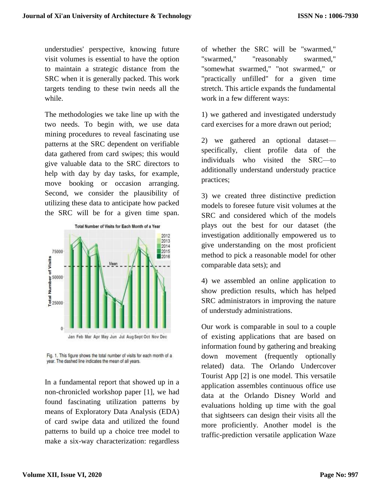understudies' perspective, knowing future visit volumes is essential to have the option to maintain a strategic distance from the SRC when it is generally packed. This work targets tending to these twin needs all the while.

The methodologies we take line up with the two needs. To begin with, we use data mining procedures to reveal fascinating use patterns at the SRC dependent on verifiable data gathered from card swipes; this would give valuable data to the SRC directors to help with day by day tasks, for example, move booking or occasion arranging. Second, we consider the plausibility of utilizing these data to anticipate how packed the SRC will be for a given time span.



Fig. 1. This figure shows the total number of visits for each month of a year. The dashed line indicates the mean of all years.

In a fundamental report that showed up in a non-chronicled workshop paper [1], we had found fascinating utilization patterns by means of Exploratory Data Analysis (EDA) of card swipe data and utilized the found patterns to build up a choice tree model to make a six-way characterization: regardless

of whether the SRC will be "swarmed," "swarmed," "reasonably swarmed," "somewhat swarmed," "not swarmed," or "practically unfilled" for a given time stretch. This article expands the fundamental work in a few different ways:

1) we gathered and investigated understudy card exercises for a more drawn out period;

2) we gathered an optional dataset specifically, client profile data of the individuals who visited the SRC—to additionally understand understudy practice practices;

3) we created three distinctive prediction models to foresee future visit volumes at the SRC and considered which of the models plays out the best for our dataset (the investigation additionally empowered us to give understanding on the most proficient method to pick a reasonable model for other comparable data sets); and

4) we assembled an online application to show prediction results, which has helped SRC administrators in improving the nature of understudy administrations.

Our work is comparable in soul to a couple of existing applications that are based on information found by gathering and breaking down movement (frequently optionally related) data. The Orlando Undercover Tourist App [2] is one model. This versatile application assembles continuous office use data at the Orlando Disney World and evaluations holding up time with the goal that sightseers can design their visits all the more proficiently. Another model is the traffic-prediction versatile application Waze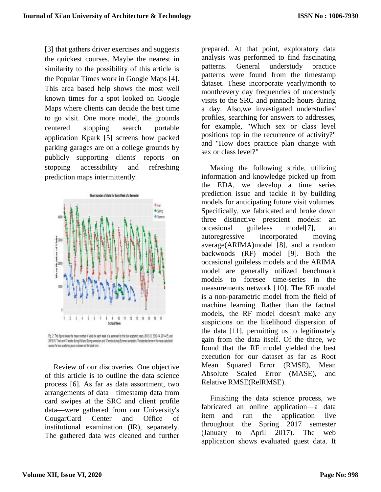[3] that gathers driver exercises and suggests the quickest courses. Maybe the nearest in similarity to the possibility of this article is the Popular Times work in Google Maps [4]. This area based help shows the most well known times for a spot looked on Google Maps where clients can decide the best time to go visit. One more model, the grounds centered stopping search portable application Kpark [5] screens how packed parking garages are on a college grounds by publicly supporting clients' reports on stopping accessibility and refreshing prediction maps intermittently.



Fig. 2. This Tigure shows the mean number of visits for each week of a servester for the four academic years, 2012-13, 2013-14, 2014-15, and 2015-16. There are 17 weeks during Fall and Spring semesters and 12 weeks during Summer semesters. The standard enter of the mean calculated across the four academic years is shown via the black bars.

Review of our discoveries. One objective of this article is to outline the data science process [6]. As far as data assortment, two arrangements of data—timestamp data from card swipes at the SRC and client profile data—were gathered from our University's CougarCard Center and Office of institutional examination (IR), separately. The gathered data was cleaned and further

prepared. At that point, exploratory data analysis was performed to find fascinating patterns. General understudy practice patterns were found from the timestamp dataset. These incorporate yearly/month to month/every day frequencies of understudy visits to the SRC and pinnacle hours during a day. Also,we investigated understudies' profiles, searching for answers to addresses, for example, "Which sex or class level positions top in the recurrence of activity?" and "How does practice plan change with sex or class level?"

Making the following stride, utilizing information and knowledge picked up from the EDA, we develop a time series prediction issue and tackle it by building models for anticipating future visit volumes. Specifically, we fabricated and broke down three distinctive prescient models: an occasional guileless model[7], an autoregressive incorporated moving average(ARIMA)model [8], and a random backwoods (RF) model [9]. Both the occasional guileless models and the ARIMA model are generally utilized benchmark models to foresee time-series in the measurements network [10]. The RF model is a non-parametric model from the field of machine learning. Rather than the factual models, the RF model doesn't make any suspicions on the likelihood dispersion of the data [11], permitting us to legitimately gain from the data itself. Of the three, we found that the RF model yielded the best execution for our dataset as far as Root Mean Squared Error (RMSE), Mean Absolute Scaled Error (MASE), and Relative RMSE(RelRMSE).

Finishing the data science process, we fabricated an online application—a data item—and run the application live throughout the Spring 2017 semester (January to April 2017). The web application shows evaluated guest data. It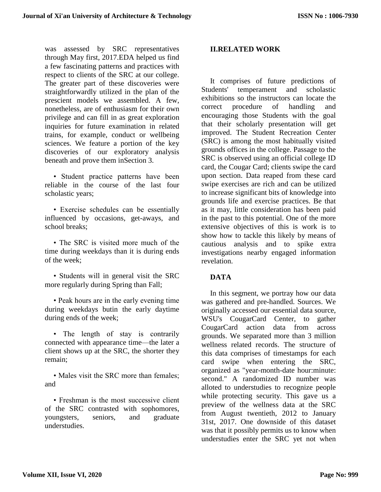was assessed by SRC representatives through May first, 2017.EDA helped us find a few fascinating patterns and practices with respect to clients of the SRC at our college. The greater part of these discoveries were straightforwardly utilized in the plan of the prescient models we assembled. A few, nonetheless, are of enthusiasm for their own privilege and can fill in as great exploration inquiries for future examination in related trains, for example, conduct or wellbeing sciences. We feature a portion of the key discoveries of our exploratory analysis beneath and prove them inSection 3.

• Student practice patterns have been reliable in the course of the last four scholastic years;

• Exercise schedules can be essentially influenced by occasions, get-aways, and school breaks;

• The SRC is visited more much of the time during weekdays than it is during ends of the week;

• Students will in general visit the SRC more regularly during Spring than Fall;

• Peak hours are in the early evening time during weekdays butin the early daytime during ends of the week;

• The length of stay is contrarily connected with appearance time—the later a client shows up at the SRC, the shorter they remain;

• Males visit the SRC more than females: and

• Freshman is the most successive client of the SRC contrasted with sophomores, youngsters, seniors, and graduate understudies.

### **II.RELATED WORK**

It comprises of future predictions of Students' temperament and scholastic exhibitions so the instructors can locate the correct procedure of handling and encouraging those Students with the goal that their scholarly presentation will get improved. The Student Recreation Center (SRC) is among the most habitually visited grounds offices in the college. Passage to the SRC is observed using an official college ID card, the Cougar Card; clients swipe the card upon section. Data reaped from these card swipe exercises are rich and can be utilized to increase significant bits of knowledge into grounds life and exercise practices. Be that as it may, little consideration has been paid in the past to this potential. One of the more extensive objectives of this is work is to show how to tackle this likely by means of cautious analysis and to spike extra investigations nearby engaged information revelation.

#### **DATA**

In this segment, we portray how our data was gathered and pre-handled. Sources. We originally accessed our essential data source, WSU's CougarCard Center, to gather CougarCard action data from across grounds. We separated more than 3 million wellness related records. The structure of this data comprises of timestamps for each card swipe when entering the SRC, organized as "year-month-date hour:minute: second." A randomized ID number was alloted to understudies to recognize people while protecting security. This gave us a preview of the wellness data at the SRC from August twentieth, 2012 to January 31st, 2017. One downside of this dataset was that it possibly permits us to know when understudies enter the SRC yet not when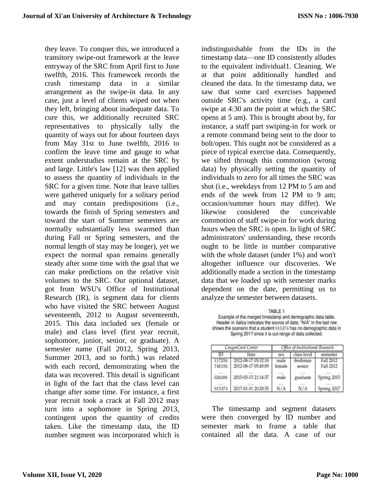they leave. To conquer this, we introduced a transitory swipe-out framework at the leave entryway of the SRC from April first to June twelfth, 2016. This framework records the crash timestamp data in a similar arrangement as the swipe-in data. In any case, just a level of clients wiped out when they left, bringing about inadequate data. To cure this, we additionally recruited SRC representatives to physically tally the quantity of ways out for about fourteen days from May 31st to June twelfth, 2016 to confirm the leave time and gauge to what extent understudies remain at the SRC by and large. Little's law [12] was then applied to assess the quantity of individuals in the SRC for a given time. Note that leave tallies were gathered uniquely for a solitary period and may contain predispositions (i.e., towards the finish of Spring semesters and toward the start of Summer semesters are normally substantially less swarmed than during Fall or Spring semesters, and the normal length of stay may be longer), yet we expect the normal span remains generally steady after some time with the goal that we can make predictions on the relative visit volumes to the SRC. Our optional dataset, got from WSU's Office of Institutional Research (IR), is segment data for clients who have visited the SRC between August seventeenth, 2012 to August seventeenth, 2015. This data included sex (female or male) and class level (first year recruit, sophomore, junior, senior, or graduate). A semester name (Fall 2012, Spring 2013, Summer 2013, and so forth.) was related with each record, demonstrating when the data was recovered. This detail is significant in light of the fact that the class level can change after some time. For instance, a first year recruit took a crack at Fall 2012 may turn into a sophomore in Spring 2013, contingent upon the quantity of credits taken. Like the timestamp data, the ID number segment was incorporated which is

indistinguishable from the IDs in the timestamp data—one ID consistently alludes to the equivalent individual1. Cleaning. We at that point additionally handled and cleaned the data. In the timestamp data, we saw that some card exercises happened outside SRC's activity time (e.g., a card swipe at 4:30 am the point at which the SRC opens at 5 am). This is brought about by, for instance, a staff part swiping-in for work or a remote command being sent to the door to bolt/open. This ought not be considered as a piece of typical exercise data. Consequently, we sifted through this commotion (wrong data) by physically setting the quantity of individuals to zero for all times the SRC was shut (i.e., weekdays from 12 PM to 5 am and ends of the week from 12 PM to 9 am; occasion/summer hours may differ). We likewise considered the conceivable commotion of staff swipe-in for work during hours when the SRC is open. In light of SRC administrators' understanding, these records ought to be little in number comparative with the whole dataset (under 1%) and won't altogether influence our discoveries. We additionally made a section in the timestamp data that we loaded up with semester marks dependent on the date, permitting us to analyze the semester between datasets.

TABLE 1 Example of the merged timestamp and demographic data table. Header in italics indicates the source of data. "N/A" in the last row shows the scenario that a student 015374 has no demographic data in Spring 2017 since it is out-range of data collected.

| CougarCard Center |                                            | Office of Institutional Research |                    |                        |
|-------------------|--------------------------------------------|----------------------------------|--------------------|------------------------|
| ID                | time                                       | sex                              | class level        | semester               |
| 117256<br>746193  | 2012-08-17 05:32:18<br>2012-08-17 05:45:09 | male<br>female                   | freshman<br>senior | Fall 2012<br>Fall 2012 |
| 026488            | 2015-03-15 21:14:37                        | male                             | graduate           | Spring 2015            |
| 015374            | 2017-01-31 20:28:35                        | N/A                              | N/A                | Spring 2017            |

The timestamp and segment datasets were then converged by ID number and semester mark to frame a table that contained all the data. A case of our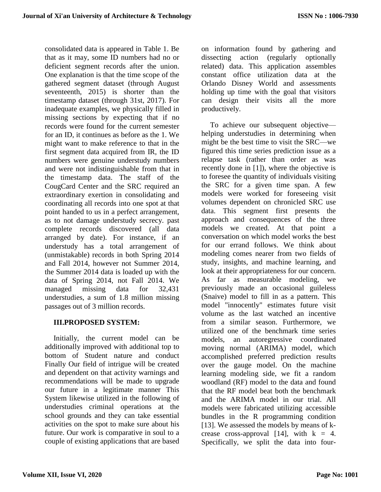consolidated data is appeared in Table 1. Be that as it may, some ID numbers had no or deficient segment records after the union. One explanation is that the time scope of the gathered segment dataset (through August seventeenth, 2015) is shorter than the timestamp dataset (through 31st, 2017). For inadequate examples, we physically filled in missing sections by expecting that if no records were found for the current semester for an ID, it continues as before as the 1. We might want to make reference to that in the first segment data acquired from IR, the ID numbers were genuine understudy numbers and were not indistinguishable from that in the timestamp data. The staff of the CougCard Center and the SRC required an extraordinary exertion in consolidating and coordinating all records into one spot at that point handed to us in a perfect arrangement, as to not damage understudy secrecy. past complete records discovered (all data arranged by date). For instance, if an understudy has a total arrangement of (unmistakable) records in both Spring 2014 and Fall 2014, however not Summer 2014, the Summer 2014 data is loaded up with the data of Spring 2014, not Fall 2014. We managed missing data for 32,431 understudies, a sum of 1.8 million missing passages out of 3 million records.

# **III.PROPOSED SYSTEM:**

Initially, the current model can be additionally improved with additional top to bottom of Student nature and conduct Finally Our field of intrigue will be created and dependent on that activity warnings and recommendations will be made to upgrade our future in a legitimate manner This System likewise utilized in the following of understudies criminal operations at the school grounds and they can take essential activities on the spot to make sure about his future. Our work is comparative in soul to a couple of existing applications that are based

on information found by gathering and dissecting action (regularly optionally related) data. This application assembles constant office utilization data at the Orlando Disney World and assessments holding up time with the goal that visitors can design their visits all the more productively.

To achieve our subsequent objective helping understudies in determining when might be the best time to visit the SRC—we figured this time series prediction issue as a relapse task (rather than order as was recently done in [1]), where the objective is to foresee the quantity of individuals visiting the SRC for a given time span. A few models were worked for foreseeing visit volumes dependent on chronicled SRC use data. This segment first presents the approach and consequences of the three models we created. At that point a conversation on which model works the best for our errand follows. We think about modeling comes nearer from two fields of study, insights, and machine learning, and look at their appropriateness for our concern. As far as measurable modeling, we previously made an occasional guileless (Snaive) model to fill in as a pattern. This model "innocently" estimates future visit volume as the last watched an incentive from a similar season. Furthermore, we utilized one of the benchmark time series models, an autoregressive coordinated moving normal (ARIMA) model, which accomplished preferred prediction results over the gauge model. On the machine learning modeling side, we fit a random woodland (RF) model to the data and found that the RF model beat both the benchmark and the ARIMA model in our trial. All models were fabricated utilizing accessible bundles in the R programming condition [13]. We assessed the models by means of kcrease cross-approval [14], with  $k = 4$ . Specifically, we split the data into four-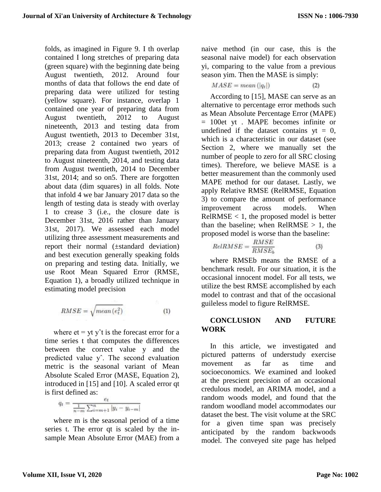folds, as imagined in Figure 9. I th overlap contained I long stretches of preparing data (green square) with the beginning date being August twentieth, 2012. Around four months of data that follows the end date of preparing data were utilized for testing (yellow square). For instance, overlap 1 contained one year of preparing data from August twentieth, 2012 to August nineteenth, 2013 and testing data from August twentieth, 2013 to December 31st, 2013; crease 2 contained two years of preparing data from August twentieth, 2012 to August nineteenth, 2014, and testing data from August twentieth, 2014 to December 31st, 2014; and so on5. There are forgotten about data (dim squares) in all folds. Note that infold 4 we bar January 2017 data so the length of testing data is steady with overlay 1 to crease 3 (i.e., the closure date is December 31st, 2016 rather than January 31st, 2017). We assessed each model utilizing three assessment measurements and report their normal (±standard deviation) and best execution generally speaking folds on preparing and testing data. Initially, we use Root Mean Squared Error (RMSE, Equation 1), a broadly utilized technique in estimating model precision

$$
RMSE = \sqrt{mean(e_t^2)}
$$
 (1)

where  $et = yt y't$  is the forecast error for a time series t that computes the differences between the correct value y and the predicted value yˆ. The second evaluation metric is the seasonal variant of Mean Absolute Scaled Error (MASE, Equation 2), introduced in [15] and [10]. A scaled error qt is first defined as:

$$
q_t = \frac{e_t}{\frac{1}{n-m} \sum_{i=m+1}^{n} |y_i - y_{i-m}|}
$$

where m is the seasonal period of a time series t. The error qt is scaled by the insample Mean Absolute Error (MAE) from a naive method (in our case, this is the seasonal naive model) for each observation yi, comparing to the value from a previous season yim. Then the MASE is simply:

$$
MASE = mean(|q_t|)
$$
 (2)

According to [15], MASE can serve as an alternative to percentage error methods such as Mean Absolute Percentage Error (MAPE) = 100et yt . MAPE becomes infinite or undefined if the dataset contains  $vt = 0$ , which is a characteristic in our dataset (see Section 2, where we manually set the number of people to zero for all SRC closing times). Therefore, we believe MASE is a better measurement than the commonly used MAPE method for our dataset. Lastly, we apply Relative RMSE (RelRMSE, Equation 3) to compare the amount of performance improvement across models. When  $ReIRMSE < 1$ , the proposed model is better than the baseline; when  $ReIRMSE > 1$ , the proposed model is worse than the baseline:

$$
RelRMSE = \frac{RMSE}{RMSE_b} \tag{3}
$$

where RMSEb means the RMSE of a benchmark result. For our situation, it is the occasional innocent model. For all tests, we utilize the best RMSE accomplished by each model to contrast and that of the occasional guileless model to figure RelRMSE.

#### **CONCLUSION AND FUTURE WORK**

In this article, we investigated and pictured patterns of understudy exercise movement as far as time and socioeconomics. We examined and looked at the prescient precision of an occasional credulous model, an ARIMA model, and a random woods model, and found that the random woodland model accommodates our dataset the best. The visit volume at the SRC for a given time span was precisely anticipated by the random backwoods model. The conveyed site page has helped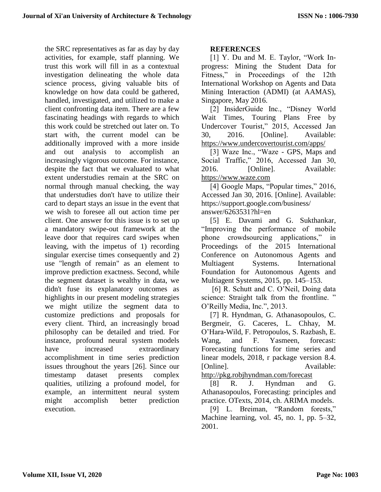the SRC representatives as far as day by day activities, for example, staff planning. We trust this work will fill in as a contextual investigation delineating the whole data science process, giving valuable bits of knowledge on how data could be gathered, handled, investigated, and utilized to make a client confronting data item. There are a few fascinating headings with regards to which this work could be stretched out later on. To start with, the current model can be additionally improved with a more inside and out analysis to accomplish an increasingly vigorous outcome. For instance, despite the fact that we evaluated to what extent understudies remain at the SRC on normal through manual checking, the way that understudies don't have to utilize their card to depart stays an issue in the event that we wish to foresee all out action time per client. One answer for this issue is to set up a mandatory swipe-out framework at the leave door that requires card swipes when leaving, with the impetus of 1) recording singular exercise times consequently and 2) use "length of remain" as an element to improve prediction exactness. Second, while the segment dataset is wealthy in data, we didn't fuse its explanatory outcomes as highlights in our present modeling strategies we might utilize the segment data to customize predictions and proposals for every client. Third, an increasingly broad philosophy can be detailed and tried. For instance, profound neural system models have increased extraordinary accomplishment in time series prediction issues throughout the years [26]. Since our timestamp dataset presents complex qualities, utilizing a profound model, for example, an intermittent neural system might accomplish better prediction execution.

# **REFERENCES**

[1] Y. Du and M. E. Taylor, "Work Inprogress: Mining the Student Data for Fitness," in Proceedings of the 12th International Workshop on Agents and Data Mining Interaction (ADMI) (at AAMAS), Singapore, May 2016.

[2] InsiderGuide Inc., "Disney World Wait Times, Touring Plans Free by Undercover Tourist," 2015, Accessed Jan 30, 2016. [Online]. Available: <https://www.undercovertourist.com/apps/>

[3] Waze Inc., "Waze - GPS, Maps and Social Traffic," 2016, Accessed Jan 30, 2016. [Online]. Available: [https://www.waze.com](https://www.waze.com/)

[4] Google Maps, "Popular times," 2016, Accessed Jan 30, 2016. [Online]. Available: https://support.google.com/business/ answer/6263531?hl=en

[5] E. Davami and G. Sukthankar, "Improving the performance of mobile phone crowdsourcing applications," in Proceedings of the 2015 International Conference on Autonomous Agents and Multiagent Systems. International Foundation for Autonomous Agents and Multiagent Systems, 2015, pp. 145–153.

[6] R. Schutt and C. O'Neil, Doing data science: Straight talk from the frontline." O'Reilly Media, Inc.", 2013.

[7] R. Hyndman, G. Athanasopoulos, C. Bergmeir, G. Caceres, L. Chhay, M. O'Hara-Wild, F. Petropoulos, S. Razbash, E. Wang, and F. Yasmeen, forecast: Forecasting functions for time series and linear models, 2018, r package version 8.4. [Online]. Available: <http://pkg.robjhyndman.com/forecast>

[8] R. J. Hyndman and G. Athanasopoulos, Forecasting: principles and

practice. OTexts, 2014, ch. ARIMA models. [9] L. Breiman, "Random forests,"

Machine learning, vol. 45, no. 1, pp. 5–32, 2001.